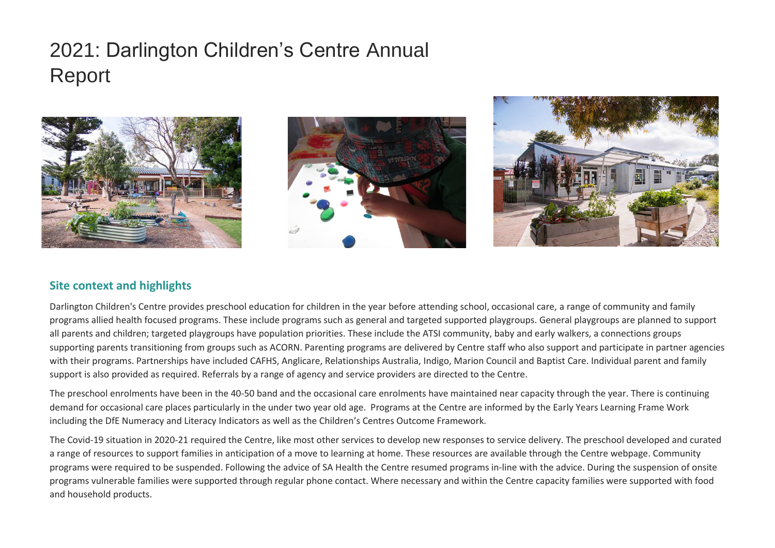# 2021: Darlington Children's Centre Annual Report





## **Site context and highlights**

Darlington Children's Centre provides preschool education for children in the year before attending school, occasional care, a range of community and family programs allied health focused programs. These include programs such as general and targeted supported playgroups. General playgroups are planned to support all parents and children; targeted playgroups have population priorities. These include the ATSI community, baby and early walkers, a connections groups supporting parents transitioning from groups such as ACORN. Parenting programs are delivered by Centre staff who also support and participate in partner agencies with their programs. Partnerships have included CAFHS, Anglicare, Relationships Australia, Indigo, Marion Council and Baptist Care. Individual parent and family support is also provided as required. Referrals by a range of agency and service providers are directed to the Centre.

The preschool enrolments have been in the 40-50 band and the occasional care enrolments have maintained near capacity through the year. There is continuing demand for occasional care places particularly in the under two year old age. Programs at the Centre are informed by the Early Years Learning Frame Work including the DfE Numeracy and Literacy Indicators as well as the Children's Centres Outcome Framework.

The Covid-19 situation in 2020-21 required the Centre, like most other services to develop new responses to service delivery. The preschool developed and curated a range of resources to support families in anticipation of a move to learning at home. These resources are available through the Centre webpage. Community programs were required to be suspended. Following the advice of SA Health the Centre resumed programs in-line with the advice. During the suspension of onsite programs vulnerable families were supported through regular phone contact. Where necessary and within the Centre capacity families were supported with food and household products.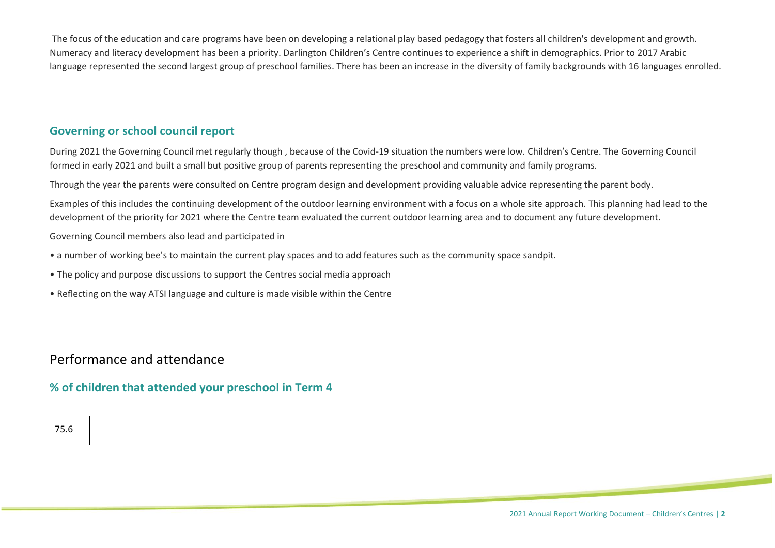The focus of the education and care programs have been on developing a relational play based pedagogy that fosters all children's development and growth. Numeracy and literacy development has been a priority. Darlington Children's Centre continues to experience a shift in demographics. Prior to 2017 Arabic language represented the second largest group of preschool families. There has been an increase in the diversity of family backgrounds with 16 languages enrolled.

## **Governing or school council report**

During 2021 the Governing Council met regularly though , because of the Covid-19 situation the numbers were low. Children's Centre. The Governing Council formed in early 2021 and built a small but positive group of parents representing the preschool and community and family programs.

Through the year the parents were consulted on Centre program design and development providing valuable advice representing the parent body.

Examples of this includes the continuing development of the outdoor learning environment with a focus on a whole site approach. This planning had lead to the development of the priority for 2021 where the Centre team evaluated the current outdoor learning area and to document any future development.

Governing Council members also lead and participated in

- a number of working bee's to maintain the current play spaces and to add features such as the community space sandpit.
- The policy and purpose discussions to support the Centres social media approach
- Reflecting on the way ATSI language and culture is made visible within the Centre

## Performance and attendance

**% of children that attended your preschool in Term 4**

## 75.6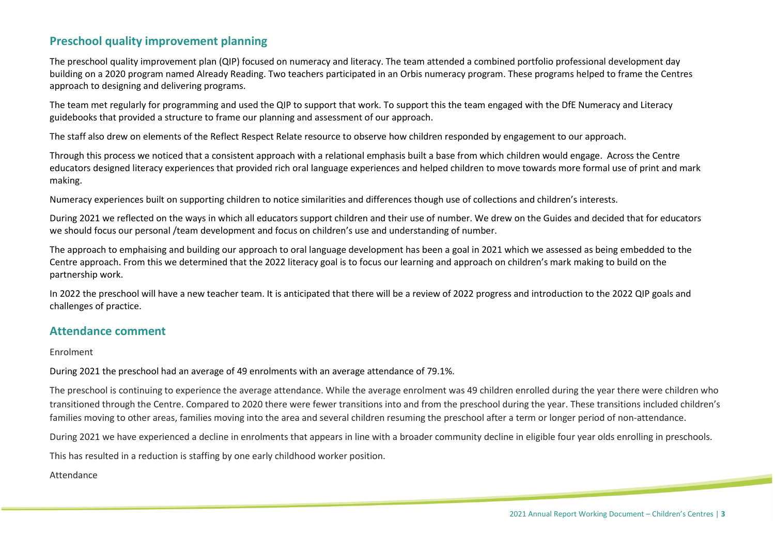## **Preschool quality improvement planning**

The preschool quality improvement plan (QIP) focused on numeracy and literacy. The team attended a combined portfolio professional development day building on a 2020 program named Already Reading. Two teachers participated in an Orbis numeracy program. These programs helped to frame the Centres approach to designing and delivering programs.

The team met regularly for programming and used the QIP to support that work. To support this the team engaged with the DfE Numeracy and Literacy guidebooks that provided a structure to frame our planning and assessment of our approach.

The staff also drew on elements of the Reflect Respect Relate resource to observe how children responded by engagement to our approach.

Through this process we noticed that a consistent approach with a relational emphasis built a base from which children would engage. Across the Centre educators designed literacy experiences that provided rich oral language experiences and helped children to move towards more formal use of print and mark making.

Numeracy experiences built on supporting children to notice similarities and differences though use of collections and children's interests.

During 2021 we reflected on the ways in which all educators support children and their use of number. We drew on the Guides and decided that for educators we should focus our personal /team development and focus on children's use and understanding of number.

The approach to emphaising and building our approach to oral language development has been a goal in 2021 which we assessed as being embedded to the Centre approach. From this we determined that the 2022 literacy goal is to focus our learning and approach on children's mark making to build on the partnership work.

In 2022 the preschool will have a new teacher team. It is anticipated that there will be a review of 2022 progress and introduction to the 2022 QIP goals and challenges of practice.

### **Attendance comment**

#### Enrolment

During 2021 the preschool had an average of 49 enrolments with an average attendance of 79.1%.

The preschool is continuing to experience the average attendance. While the average enrolment was 49 children enrolled during the year there were children who transitioned through the Centre. Compared to 2020 there were fewer transitions into and from the preschool during the year. These transitions included children's families moving to other areas, families moving into the area and several children resuming the preschool after a term or longer period of non-attendance.

During 2021 we have experienced a decline in enrolments that appears in line with a broader community decline in eligible four year olds enrolling in preschools.

This has resulted in a reduction is staffing by one early childhood worker position.

#### Attendance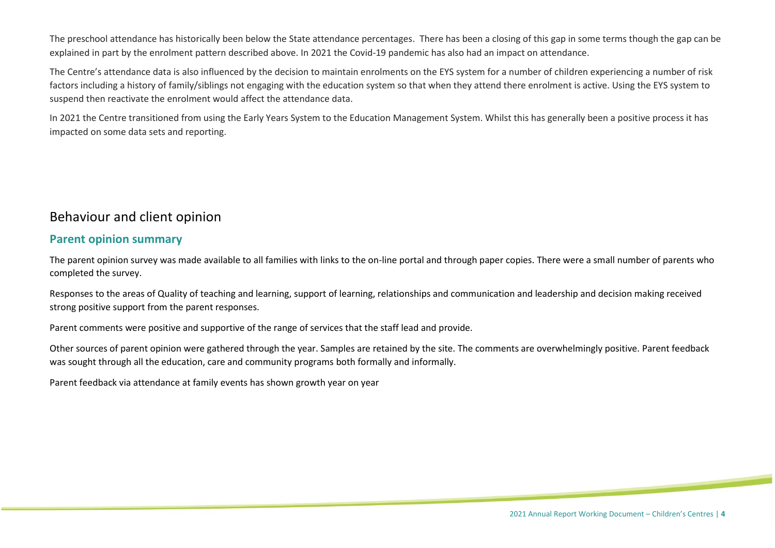The preschool attendance has historically been below the State attendance percentages. There has been a closing of this gap in some terms though the gap can be explained in part by the enrolment pattern described above. In 2021 the Covid-19 pandemic has also had an impact on attendance.

The Centre's attendance data is also influenced by the decision to maintain enrolments on the EYS system for a number of children experiencing a number of risk factors including a history of family/siblings not engaging with the education system so that when they attend there enrolment is active. Using the EYS system to suspend then reactivate the enrolment would affect the attendance data.

In 2021 the Centre transitioned from using the Early Years System to the Education Management System. Whilst this has generally been a positive process it has impacted on some data sets and reporting.

## Behaviour and client opinion

### **Parent opinion summary**

The parent opinion survey was made available to all families with links to the on-line portal and through paper copies. There were a small number of parents who completed the survey.

Responses to the areas of Quality of teaching and learning, support of learning, relationships and communication and leadership and decision making received strong positive support from the parent responses.

Parent comments were positive and supportive of the range of services that the staff lead and provide.

Other sources of parent opinion were gathered through the year. Samples are retained by the site. The comments are overwhelmingly positive. Parent feedback was sought through all the education, care and community programs both formally and informally.

Parent feedback via attendance at family events has shown growth year on year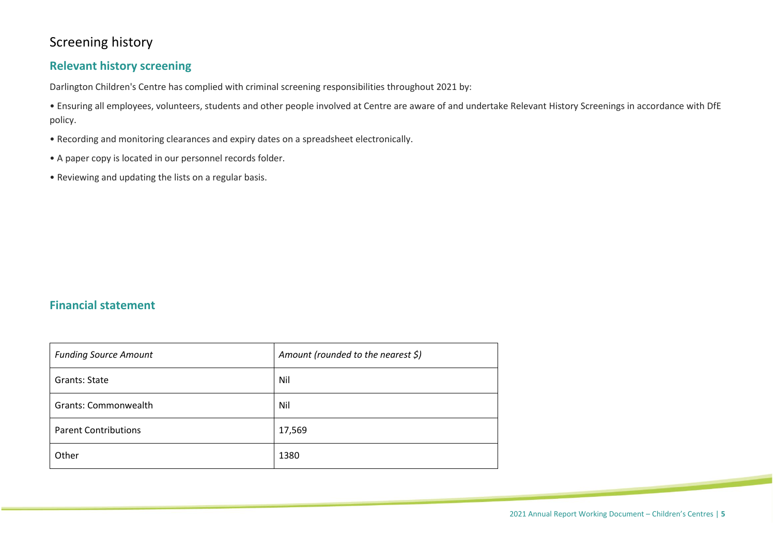## Screening history

## **Relevant history screening**

Darlington Children's Centre has complied with criminal screening responsibilities throughout 2021 by:

• Ensuring all employees, volunteers, students and other people involved at Centre are aware of and undertake Relevant History Screenings in accordance with DfE policy.

- Recording and monitoring clearances and expiry dates on a spreadsheet electronically.
- A paper copy is located in our personnel records folder.
- Reviewing and updating the lists on a regular basis.

## **Financial statement**

| <b>Funding Source Amount</b> | Amount (rounded to the nearest \$) |
|------------------------------|------------------------------------|
| Grants: State                | Nil                                |
| Grants: Commonwealth         | Nil                                |
| <b>Parent Contributions</b>  | 17,569                             |
| Other                        | 1380                               |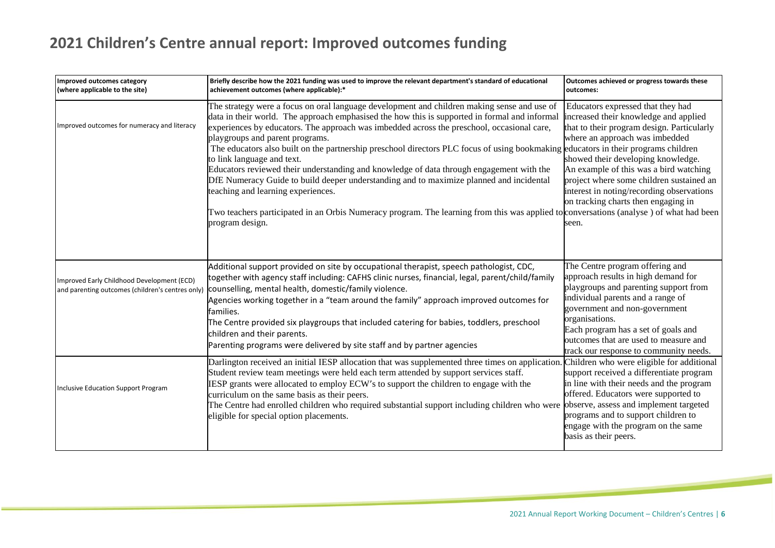## **2021 Children's Centre annual report: Improved outcomes funding**

| Improved outcomes category<br>(where applicable to the site)                                   | Briefly describe how the 2021 funding was used to improve the relevant department's standard of educational<br>achievement outcomes (where applicable):*                                                                                                                                                                                                                                                                                                                                                                                                                                                                                                                                                                                                                                                                                                                                    | Outcomes achieved or progress towards these<br>outcomes:                                                                                                                                                                                                                                                                                                                            |
|------------------------------------------------------------------------------------------------|---------------------------------------------------------------------------------------------------------------------------------------------------------------------------------------------------------------------------------------------------------------------------------------------------------------------------------------------------------------------------------------------------------------------------------------------------------------------------------------------------------------------------------------------------------------------------------------------------------------------------------------------------------------------------------------------------------------------------------------------------------------------------------------------------------------------------------------------------------------------------------------------|-------------------------------------------------------------------------------------------------------------------------------------------------------------------------------------------------------------------------------------------------------------------------------------------------------------------------------------------------------------------------------------|
| Improved outcomes for numeracy and literacy                                                    | The strategy were a focus on oral language development and children making sense and use of<br>data in their world. The approach emphasised the how this is supported in formal and informal<br>experiences by educators. The approach was imbedded across the preschool, occasional care,<br>playgroups and parent programs.<br>The educators also built on the partnership preschool directors PLC focus of using bookmaking educators in their programs children<br>to link language and text.<br>Educators reviewed their understanding and knowledge of data through engagement with the<br>DfE Numeracy Guide to build deeper understanding and to maximize planned and incidental<br>teaching and learning experiences.<br>Two teachers participated in an Orbis Numeracy program. The learning from this was applied to conversations (analyse) of what had been<br>program design. | Educators expressed that they had<br>increased their knowledge and applied<br>that to their program design. Particularly<br>where an approach was imbedded<br>showed their developing knowledge.<br>An example of this was a bird watching<br>project where some children sustained an<br>interest in noting/recording observations<br>on tracking charts then engaging in<br>seen. |
| Improved Early Childhood Development (ECD)<br>and parenting outcomes (children's centres only) | Additional support provided on site by occupational therapist, speech pathologist, CDC,<br>together with agency staff including: CAFHS clinic nurses, financial, legal, parent/child/family<br>counselling, mental health, domestic/family violence.<br>Agencies working together in a "team around the family" approach improved outcomes for<br>families.<br>The Centre provided six playgroups that included catering for babies, toddlers, preschool<br>children and their parents.<br>Parenting programs were delivered by site staff and by partner agencies                                                                                                                                                                                                                                                                                                                          | The Centre program offering and<br>approach results in high demand for<br>playgroups and parenting support from<br>individual parents and a range of<br>government and non-government<br>organisations.<br>Each program has a set of goals and<br>outcomes that are used to measure and<br>track our response to community needs.                                                   |
| Inclusive Education Support Program                                                            | Darlington received an initial IESP allocation that was supplemented three times on application.<br>Student review team meetings were held each term attended by support services staff.<br>IESP grants were allocated to employ ECW's to support the children to engage with the<br>curriculum on the same basis as their peers.<br>The Centre had enrolled children who required substantial support including children who were observe, assess and implement targeted<br>eligible for special option placements.                                                                                                                                                                                                                                                                                                                                                                        | Children who were eligible for additional<br>support received a differentiate program<br>in line with their needs and the program<br>offered. Educators were supported to<br>programs and to support children to<br>engage with the program on the same<br>basis as their peers.                                                                                                    |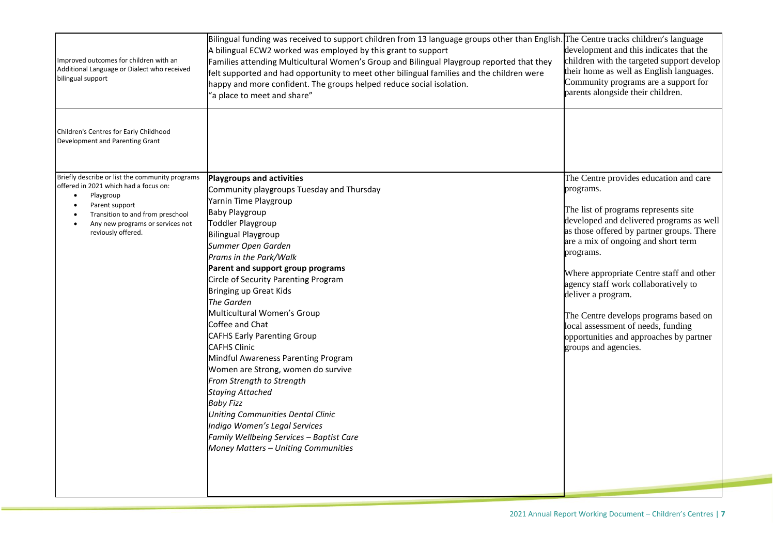| Improved outcomes for children with an<br>Additional Language or Dialect who received<br>bilingual support                                                                                                                         | Bilingual funding was received to support children from 13 language groups other than English. The Centre tracks children's language<br>A bilingual ECW2 worked was employed by this grant to support<br>Families attending Multicultural Women's Group and Bilingual Playgroup reported that they<br>felt supported and had opportunity to meet other bilingual families and the children were<br>happy and more confident. The groups helped reduce social isolation.<br>'a place to meet and share"                                                                                                                                                                                                                                                                                   | development and this indicates that the<br>children with the targeted support develop<br>their home as well as English languages.<br>Community programs are a support for<br>parents alongside their children.                                                                                                                                                                                                                                                                                       |
|------------------------------------------------------------------------------------------------------------------------------------------------------------------------------------------------------------------------------------|------------------------------------------------------------------------------------------------------------------------------------------------------------------------------------------------------------------------------------------------------------------------------------------------------------------------------------------------------------------------------------------------------------------------------------------------------------------------------------------------------------------------------------------------------------------------------------------------------------------------------------------------------------------------------------------------------------------------------------------------------------------------------------------|------------------------------------------------------------------------------------------------------------------------------------------------------------------------------------------------------------------------------------------------------------------------------------------------------------------------------------------------------------------------------------------------------------------------------------------------------------------------------------------------------|
| Children's Centres for Early Childhood<br>Development and Parenting Grant                                                                                                                                                          |                                                                                                                                                                                                                                                                                                                                                                                                                                                                                                                                                                                                                                                                                                                                                                                          |                                                                                                                                                                                                                                                                                                                                                                                                                                                                                                      |
| Briefly describe or list the community programs<br>offered in 2021 which had a focus on:<br>Playgroup<br>$\bullet$<br>Parent support<br>Transition to and from preschool<br>Any new programs or services not<br>reviously offered. | Playgroups and activities<br>Community playgroups Tuesday and Thursday<br>Yarnin Time Playgroup<br><b>Baby Playgroup</b><br>Toddler Playgroup<br><b>Bilingual Playgroup</b><br>Summer Open Garden<br>Prams in the Park/Walk<br>Parent and support group programs<br>Circle of Security Parenting Program<br>Bringing up Great Kids<br>The Garden<br>Multicultural Women's Group<br>Coffee and Chat<br><b>CAFHS Early Parenting Group</b><br><b>CAFHS Clinic</b><br>Mindful Awareness Parenting Program<br>Women are Strong, women do survive<br>From Strength to Strength<br><b>Staying Attached</b><br><b>Baby Fizz</b><br><b>Uniting Communities Dental Clinic</b><br>Indigo Women's Legal Services<br>Family Wellbeing Services - Baptist Care<br>Money Matters - Uniting Communities | The Centre provides education and care<br>programs.<br>The list of programs represents site<br>developed and delivered programs as well<br>as those offered by partner groups. There<br>are a mix of ongoing and short term<br>programs.<br>Where appropriate Centre staff and other<br>agency staff work collaboratively to<br>deliver a program.<br>The Centre develops programs based on<br>local assessment of needs, funding<br>opportunities and approaches by partner<br>groups and agencies. |